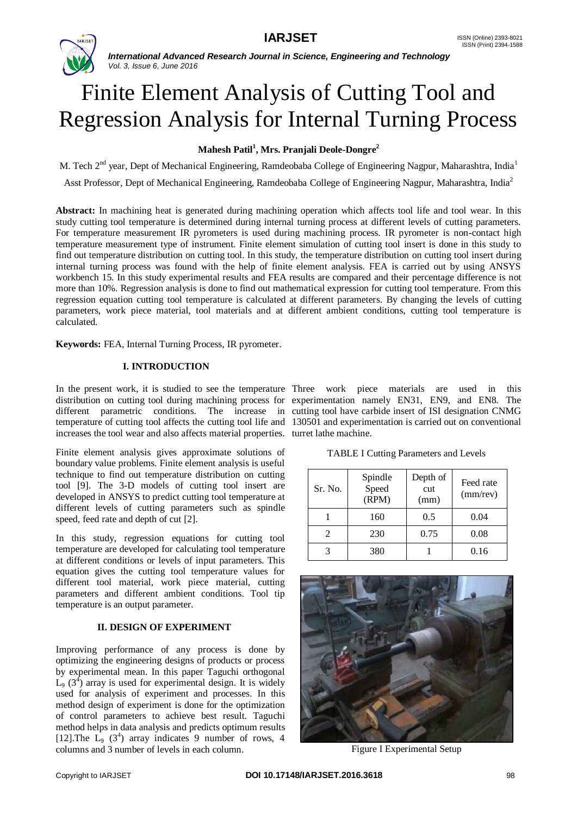

# Finite Element Analysis of Cutting Tool and Regression Analysis for Internal Turning Process

# **Mahesh Patil<sup>1</sup> , Mrs. Pranjali Deole-Dongre<sup>2</sup>**

M. Tech 2<sup>nd</sup> year, Dept of Mechanical Engineering, Ramdeobaba College of Engineering Nagpur, Maharashtra, India<sup>1</sup>

Asst Professor, Dept of Mechanical Engineering, Ramdeobaba College of Engineering Nagpur, Maharashtra, India<sup>2</sup>

**Abstract:** In machining heat is generated during machining operation which affects tool life and tool wear. In this study cutting tool temperature is determined during internal turning process at different levels of cutting parameters. For temperature measurement IR pyrometers is used during machining process. IR pyrometer is non-contact high temperature measurement type of instrument. Finite element simulation of cutting tool insert is done in this study to find out temperature distribution on cutting tool. In this study, the temperature distribution on cutting tool insert during internal turning process was found with the help of finite element analysis. FEA is carried out by using ANSYS workbench 15. In this study experimental results and FEA results are compared and their percentage difference is not more than 10%. Regression analysis is done to find out mathematical expression for cutting tool temperature. From this regression equation cutting tool temperature is calculated at different parameters. By changing the levels of cutting parameters, work piece material, tool materials and at different ambient conditions, cutting tool temperature is calculated.

**Keywords:** FEA, Internal Turning Process, IR pyrometer.

# **I. INTRODUCTION**

In the present work, it is studied to see the temperature Three work piece materials are used in this distribution on cutting tool during machining process for experimentation namely EN31, EN9, and EN8. The different parametric conditions. The increase in cutting tool have carbide insert of ISI designation CNMG temperature of cutting tool affects the cutting tool life and 130501 and experimentation is carried out on conventional increases the tool wear and also affects material properties. turret lathe machine.

Finite element analysis gives approximate solutions of boundary value problems. Finite element analysis is useful technique to find out temperature distribution on cutting tool [9]. The 3-D models of cutting tool insert are developed in ANSYS to predict cutting tool temperature at different levels of cutting parameters such as spindle speed, feed rate and depth of cut [2].

In this study, regression equations for cutting tool temperature are developed for calculating tool temperature at different conditions or levels of input parameters. This equation gives the cutting tool temperature values for different tool material, work piece material, cutting parameters and different ambient conditions. Tool tip temperature is an output parameter.

# **II. DESIGN OF EXPERIMENT**

Improving performance of any process is done by optimizing the engineering designs of products or process by experimental mean. In this paper Taguchi orthogonal  $\dot{\mathsf{L}}_9$  (3<sup>4</sup>) array is used for experimental design. It is widely used for analysis of experiment and processes. In this method design of experiment is done for the optimization of control parameters to achieve best result. Taguchi method helps in data analysis and predicts optimum results [12]. The  $\dot{L}_9$  (3<sup>4</sup>) array indicates 9 number of rows, 4 columns and 3 number of levels in each column.

TABLE I Cutting Parameters and Levels

| Sr. No. | Spindle<br>Speed<br>(RPM) | Depth of<br>cut<br>(mm) | Feed rate<br>$(mm$ /rev $)$ |
|---------|---------------------------|-------------------------|-----------------------------|
|         | 160                       | 0.5                     | 0.04                        |
|         | 230                       | 0.75                    | 0.08                        |
|         | 380                       |                         | 0.16                        |



Figure I Experimental Setup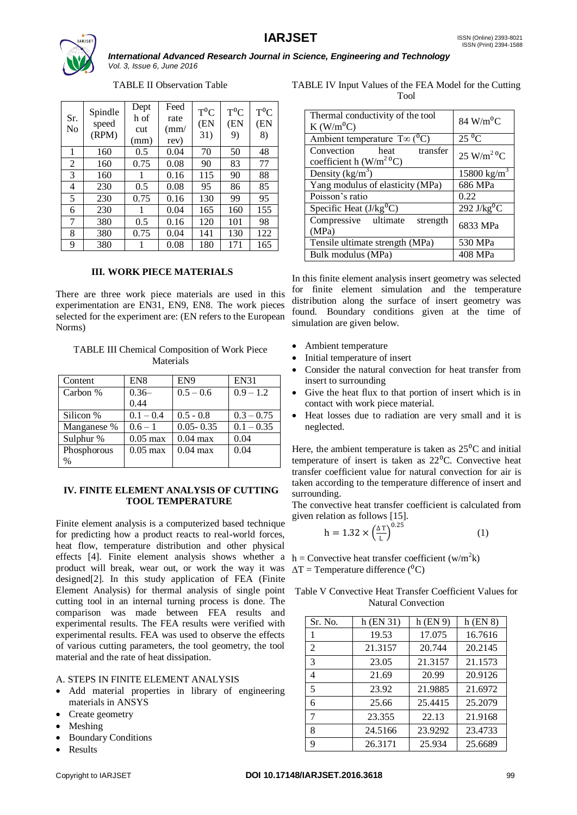

TABLE II Observation Table

| Sr.<br>No | Spindle<br>speed<br>(RPM) | Dept<br>h of<br>cut<br>(mm) | Feed<br>rate<br>$\text{m}$<br>rev) | $T^0C$<br>(EN<br>31) | $T^0C$<br>(EN<br>9) | $T^0C$<br>(EN<br>8) |
|-----------|---------------------------|-----------------------------|------------------------------------|----------------------|---------------------|---------------------|
| 1         | 160                       | 0.5                         | 0.04                               | 70                   | 50                  | 48                  |
| 2         | 160                       | 0.75                        | 0.08                               | 90                   | 83                  | 77                  |
| 3         | 160                       | 1                           | 0.16                               | 115                  | 90                  | 88                  |
| 4         | 230                       | 0.5                         | 0.08                               | 95                   | 86                  | 85                  |
| 5         | 230                       | 0.75                        | 0.16                               | 130                  | 99                  | 95                  |
| 6         | 230                       | 1                           | 0.04                               | 165                  | 160                 | 155                 |
| 7         | 380                       | 0.5                         | 0.16                               | 120                  | 101                 | 98                  |
| 8         | 380                       | 0.75                        | 0.04                               | 141                  | 130                 | 122                 |
| 9         | 380                       | 1                           | 0.08                               | 180                  | 171                 | 165                 |

# **III. WORK PIECE MATERIALS**

There are three work piece materials are used in this experimentation are EN31, EN9, EN8. The work pieces selected for the experiment are: (EN refers to the European Norms)

## TABLE III Chemical Composition of Work Piece Materials

| Content     | EN <sub>8</sub>    | EN <sub>9</sub> | <b>EN31</b>  |
|-------------|--------------------|-----------------|--------------|
| Carbon %    | $0.36-$            | $0.5 - 0.6$     | $0.9 - 1.2$  |
|             | 0.44               |                 |              |
| Silicon %   | $0.1 - 0.4$        | $0.5 - 0.8$     | $0.3 - 0.75$ |
| Manganese % | $0.6 - 1$          | $0.05 - 0.35$   | $0.1 - 0.35$ |
| Sulphur %   | $0.05 \text{ max}$ | $0.04$ max      | 0.04         |
| Phosphorous | $0.05 \text{ max}$ | $0.04$ max      | 0.04         |
| %           |                    |                 |              |

## **IV. FINITE ELEMENT ANALYSIS OF CUTTING TOOL TEMPERATURE**

Finite element analysis is a computerized based technique for predicting how a product reacts to real-world forces, heat flow, temperature distribution and other physical effects [4]. Finite element analysis shows whether a  $h =$ Convective heat transfer coefficient (w/m<sup>2</sup>k) product will break, wear out, or work the way it was  $\Delta T =$  Temperature difference (<sup>0</sup>C) designed[2]. In this study application of FEA (Finite Element Analysis) for thermal analysis of single point Table V Convective Heat Transfer Coefficient Values for cutting tool in an internal turning process is done. The comparison was made between FEA results and experimental results. The FEA results were verified with experimental results. FEA was used to observe the effects of various cutting parameters, the tool geometry, the tool material and the rate of heat dissipation.

#### A. STEPS IN FINITE ELEMENT ANALYSIS

- Add material properties in library of engineering materials in ANSYS
- Create geometry
- Meshing
- Boundary Conditions
- Results

TABLE IV Input Values of the FEA Model for the Cutting Tool

| Thermal conductivity of the tool<br>$K$ (W/m <sup>o</sup> C) | $84 \text{ W/m}^0\text{C}$        |
|--------------------------------------------------------------|-----------------------------------|
| Ambient temperature $T\infty$ ( <sup>0</sup> C)              | $25\,\mathrm{^0C}$                |
| Convection<br>transfer<br>heat<br>coefficient h $(W/m^2 C)$  | $25 \text{ W/m}^2$ <sup>0</sup> C |
| Density $(kg/m^3)$                                           | $15800 \text{ kg/m}^3$            |
| Yang modulus of elasticity (MPa)                             | 686 MPa                           |
| Poisson's ratio                                              | 0.22                              |
| Specific Heat $(J/kg^{0}\overline{C})$                       | $292$ J/kg <sup>o</sup> C         |
| Compressive ultimate<br>strength<br>(MPa)                    | 6833 MPa                          |
| Tensile ultimate strength (MPa)                              | 530 MPa                           |
| Bulk modulus (MPa)                                           | 408 MPa                           |

In this finite element analysis insert geometry was selected for finite element simulation and the temperature distribution along the surface of insert geometry was found. Boundary conditions given at the time of simulation are given below.

- Ambient temperature
- Initial temperature of insert
- Consider the natural convection for heat transfer from insert to surrounding
- Give the heat flux to that portion of insert which is in contact with work piece material.
- Heat losses due to radiation are very small and it is neglected.

Here, the ambient temperature is taken as  $25^{\circ}$ C and initial temperature of insert is taken as  $22^{\circ}$ C. Convective heat transfer coefficient value for natural convection for air is taken according to the temperature difference of insert and surrounding.

The convective heat transfer coefficient is calculated from given relation as follows [15].

$$
h = 1.32 \times \left(\frac{\Delta T}{L}\right)^{0.25} \tag{1}
$$

Natural Convection

| Sr. No. | $h$ (EN 31) | $h$ (EN 9) | $h$ (EN $8$ ) |
|---------|-------------|------------|---------------|
| 1       | 19.53       | 17.075     | 16.7616       |
| 2       | 21.3157     | 20.744     | 20.2145       |
| 3       | 23.05       | 21.3157    | 21.1573       |
| 4       | 21.69       | 20.99      | 20.9126       |
| 5       | 23.92       | 21.9885    | 21.6972       |
| 6       | 25.66       | 25.4415    | 25.2079       |
| 7       | 23.355      | 22.13      | 21.9168       |
| 8       | 24.5166     | 23.9292    | 23.4733       |
| 9       | 26.3171     | 25.934     | 25.6689       |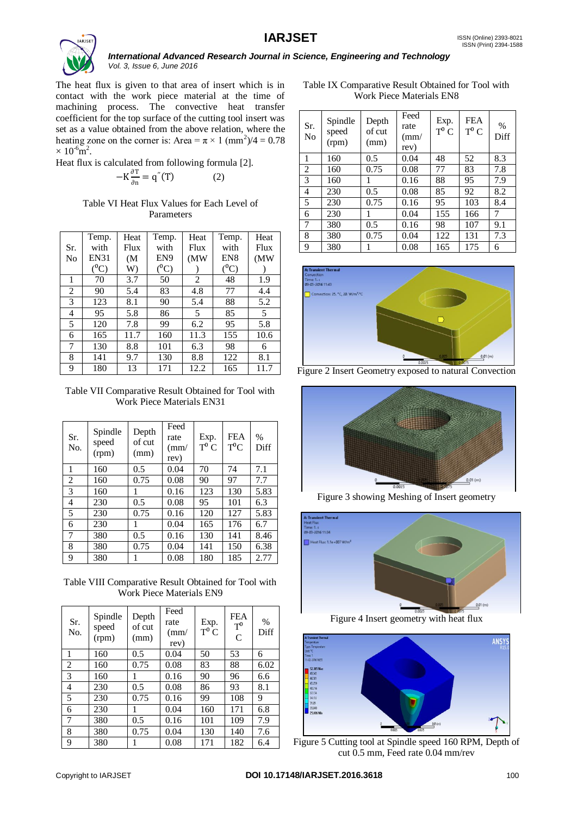

The heat flux is given to that area of insert which is in contact with the work piece material at the time of machining process. The convective heat transfer coefficient for the top surface of the cutting tool insert was set as a value obtained from the above relation, where the heating zone on the corner is: Area =  $\pi \times 1 \text{ (mm}^2)/4 = 0.78$  $\times 10^{-6}$ m<sup>2</sup>.

Heat flux is calculated from following formula [2].

$$
-K\frac{\partial T}{\partial n} = q''(T)
$$
 (2)

# Table VI Heat Flux Values for Each Level of Parameters

|                | Temp.            | Heat              | Temp.           | Heat           | Temp.           | Heat |
|----------------|------------------|-------------------|-----------------|----------------|-----------------|------|
| Sr.            | with             | Flux              | with            | Flux           | with            | Flux |
| N <sub>0</sub> | <b>EN31</b>      | (M <sup>2</sup> ) | EN <sub>9</sub> | (MW            | EN <sub>8</sub> | (MW) |
|                | $(^0\mathrm{C})$ | W)                | $(^0C)$         |                | $(^0C)$         |      |
| 1              | 70               | 3.7               | 50              | $\overline{c}$ | 48              | 1.9  |
| $\overline{c}$ | 90               | 5.4               | 83              | 4.8            | 77              | 4.4  |
| 3              | 123              | 8.1               | 90              | 5.4            | 88              | 5.2  |
| 4              | 95               | 5.8               | 86              | 5              | 85              | 5    |
| 5              | 120              | 7.8               | 99              | 6.2            | 95              | 5.8  |
| 6              | 165              | 11.7              | 160             | 11.3           | 155             | 10.6 |
| 7              | 130              | 8.8               | 101             | 6.3            | 98              | 6    |
| 8              | 141              | 9.7               | 130             | 8.8            | 122             | 8.1  |
| 9              | 180              | 13                | 171             | 12.2           | 165             | 11.7 |

Table VII Comparative Result Obtained for Tool with Work Piece Materials EN31

| Sr.<br>No.     | Spindle<br>speed<br>(rpm) | Depth<br>of cut<br>(mm) | Feed<br>rate<br>$\text{m}$<br>rev) | Exp.<br>$T^0 C$ | <b>FEA</b><br>$T^0C$ | $\frac{0}{0}$<br>Diff |
|----------------|---------------------------|-------------------------|------------------------------------|-----------------|----------------------|-----------------------|
| 1              | 160                       | 0.5                     | 0.04                               | 70              | 74                   | 7.1                   |
| $\overline{2}$ | 160                       | 0.75                    | 0.08                               | 90              | 97                   | 7.7                   |
| 3              | 160                       | 1                       | 0.16                               | 123             | 130                  | 5.83                  |
| 4              | 230                       | 0.5                     | 0.08                               | 95              | 101                  | 6.3                   |
| 5              | 230                       | 0.75                    | 0.16                               | 120             | 127                  | 5.83                  |
| 6              | 230                       | 1                       | 0.04                               | 165             | 176                  | 6.7                   |
| 7              | 380                       | 0.5                     | 0.16                               | 130             | 141                  | 8.46                  |
| 8              | 380                       | 0.75                    | 0.04                               | 141             | 150                  | 6.38                  |
| 9              | 380                       | 1                       | 0.08                               | 180             | 185                  | 2.77                  |

Table VIII Comparative Result Obtained for Tool with Work Piece Materials EN9

| Sr.<br>No. | Spindle<br>speed<br>(rpm) | Depth<br>of cut<br>(mm) | Feed<br>rate<br>$\rm (mm/$<br>rev) | Exp.<br>$T^0 C$ | <b>FEA</b><br>$T^0$<br>C | $\%$<br>Diff |
|------------|---------------------------|-------------------------|------------------------------------|-----------------|--------------------------|--------------|
| 1          | 160                       | 0.5                     | 0.04                               | 50              | 53                       | 6            |
| 2          | 160                       | 0.75                    | 0.08                               | 83              | 88                       | 6.02         |
| 3          | 160                       | 1                       | 0.16                               | 90              | 96                       | 6.6          |
| 4          | 230                       | 0.5                     | 0.08                               | 86              | 93                       | 8.1          |
| 5          | 230                       | 0.75                    | 0.16                               | 99              | 108                      | 9            |
| 6          | 230                       | 1                       | 0.04                               | 160             | 171                      | 6.8          |
| 7          | 380                       | 0.5                     | 0.16                               | 101             | 109                      | 7.9          |
| 8          | 380                       | 0.75                    | 0.04                               | 130             | 140                      | 7.6          |
| 9          | 380                       |                         | 0.08                               | 171             | 182                      | 6.4          |

Table IX Comparative Result Obtained for Tool with Work Piece Materials EN8

| Sr.<br>No      | Spindle<br>speed<br>(rpm) | Depth<br>of cut<br>(mm) | Feed<br>rate<br>$\text{m}$<br>rev) | Exp.<br>$T^0 C$ | <b>FEA</b><br>$T^0 C$ | $\%$<br>Diff |
|----------------|---------------------------|-------------------------|------------------------------------|-----------------|-----------------------|--------------|
| 1              | 160                       | 0.5                     | 0.04                               | 48              | 52                    | 8.3          |
| 2              | 160                       | 0.75                    | 0.08                               | 77              | 83                    | 7.8          |
| 3              | 160                       |                         | 0.16                               | 88              | 95                    | 7.9          |
| $\overline{4}$ | 230                       | 0.5                     | 0.08                               | 85              | 92                    | 8.2          |
| 5              | 230                       | 0.75                    | 0.16                               | 95              | 103                   | 8.4          |
| 6              | 230                       | 1                       | 0.04                               | 155             | 166                   | 7            |
| $\overline{7}$ | 380                       | 0.5                     | 0.16                               | 98              | 107                   | 9.1          |
| 8              | 380                       | 0.75                    | 0.04                               | 122             | 131                   | 7.3          |
| 9              | 380                       | 1                       | 0.08                               | 165             | 175                   | 6            |



Figure 2 Insert Geometry exposed to natural Convection



Figure 3 showing Meshing of Insert geometry



Figure 4 Insert geometry with heat flux



Figure 5 Cutting tool at Spindle speed 160 RPM, Depth of cut 0.5 mm, Feed rate 0.04 mm/rev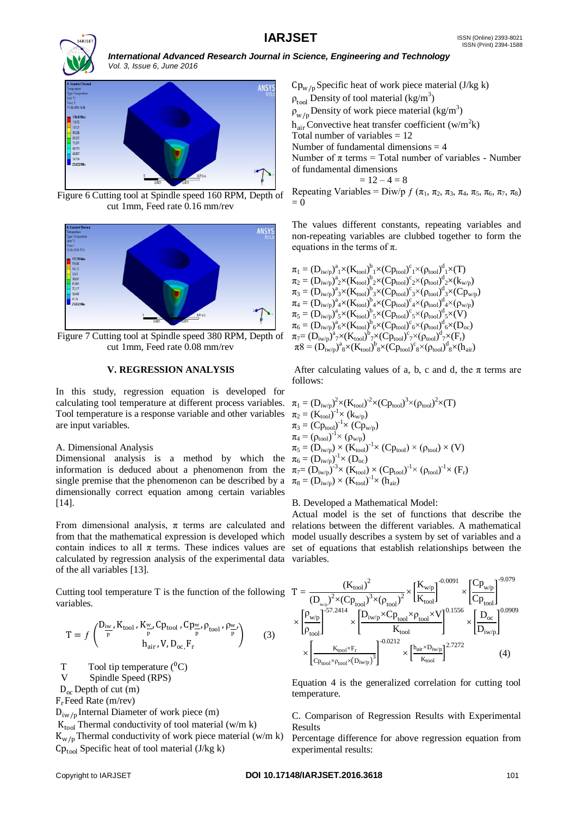



Figure 6 Cutting tool at Spindle speed 160 RPM, Depth of cut 1mm, Feed rate 0.16 mm/rev



Figure 7 Cutting tool at Spindle speed 380 RPM, Depth of cut 1mm, Feed rate 0.08 mm/rev

## **V. REGRESSION ANALYSIS**

In this study, regression equation is developed for calculating tool temperature at different process variables. Tool temperature is a response variable and other variables are input variables.

# A. Dimensional Analysis

Dimensional analysis is a method by which the information is deduced about a phenomenon from the single premise that the phenomenon can be described by a dimensionally correct equation among certain variables [14].

calculated by regression analysis of the experimental data variables. of the all variables [13].

Cutting tool temperature T is the function of the following variables.

$$
T = f\begin{pmatrix} D_{\frac{\text{i}w}{p}}, K_{\text{tool}}, K_{\frac{w}{p}}, Cp_{\text{tool}}, Cp_{\frac{w}{p}}, p_{\text{tool}}, p_{\frac{w}{p}} \\ h_{\text{air}}, V, D_{\text{oc}}, F_{r} \end{pmatrix} (3)
$$

T Tool tip temperature  $(^0C)$ 

V Spindle Speed (RPS)

 $D_{\alpha}$  Depth of cut (m)

 $F_r$ Feed Rate (m/rev)

 $D_{iw/p}$ Internal Diameter of work piece (m)

 $K_{\text{tool}}$  Thermal conductivity of tool material (w/m k)

 $K_{w/n}$ Thermal conductivity of work piece material (w/m k)  $Cp_{\text{tool}}$  Specific heat of tool material (J/kg k)

 $Cp_{w/n}$ Specific heat of work piece material (J/kg k)  $\rho_{\text{tool}}$  Density of tool material (kg/m<sup>3</sup>)  $\rho_{w/p}^{cor}$ Density of work piece material (kg/m<sup>3</sup>)  $h_{air}$ Convective heat transfer coefficient (w/m<sup>2</sup>k) Total number of variables  $= 12$ Number of fundamental dimensions  $= 4$ Number of  $\pi$  terms = Total number of variables - Number of fundamental dimensions  $= 12 - 4 = 8$ 

Repeating Variables = Diw/p  $f$  ( $\pi_1$ ,  $\pi_2$ ,  $\pi_3$ ,  $\pi_4$ ,  $\pi_5$ ,  $\pi_6$ ,  $\pi_7$ ,  $\pi_8$ )  $= 0$ 

The values different constants, repeating variables and non-repeating variables are clubbed together to form the equations in the terms of  $\pi$ .

 $\pi_1 = (D_{\text{iw/p}})^a_1 \times (K_{\text{tool}})^b_1 \times (Cp_{\text{tool}})^c_1 \times (\rho_{\text{tool}})^d_1 \times (T)$  $\pi_2 = (D_{\text{iw/p}})^a_2 \times (K_{\text{tool}})^b_2 \times (Cp_{\text{tool}})^c_2 \times (\rho_{\text{tool}})^d_2 \times (k_{\text{w/p}})$  $\pi_3 = (D_{\text{iw}/\text{p}})^a{}_3 \times (K_{\text{tool}})^b{}_3 \times (Cp_{\text{tool}})^c{}_3 \times (\rho_{\text{tool}})^d{}_3 \times (Cp_{\text{w}/\text{p}})$  $\pi_4 = (\mathbf{D}_{\text{iw/p}})^a_4 \times (\mathbf{K}_{\text{tool}})^b_4 \times (\mathbf{C} \mathbf{p}_{\text{tool}})^c_4 \times (\mathbf{\rho}_{\text{tool}})^d_4 \times (\mathbf{\rho}_{\text{w/p}})$  $\pi_5 = (D_{\text{iw/p}})^a_5 \times (K_{\text{tool}})^b_5 \times (Cp_{\text{tool}})^c_5 \times (\rho_{\text{tool}})^d_5 \times (V)$  $\pi_6 = (D_{\text{iw}/\text{p}})^a{}_6 \times (K_{\text{tool}})^b{}_6 \times (Cp_{\text{tool}})^c{}_6 \times (\rho_{\text{tool}})^d{}_6 \times (D_{\text{oc}})$  $\pi_7=(\mathrm{D}_{\mathrm{iw}/\mathrm{p}})^a{}_\mathrm{7}\times(\mathrm{K}_{\mathrm{tool}})^\mathrm{b}{}_\mathrm{7}\times(\mathrm{Cp}_{\mathrm{tool}})^\mathrm{c}{}_\mathrm{7}\times(\rho_{\mathrm{tool}})^\mathrm{d}{}_\mathrm{7}\times(\mathrm{F}_\mathrm{r})$  $\pi 8 = (D_{i w/p})^8 \times (K_{\text{tool}})^6 \times (C_{\text{Pool}})^c \times (\rho_{\text{tool}})^d \times (h_{\text{air}})$ 

After calculating values of a, b, c and d, the  $\pi$  terms are follows:

$$
\begin{array}{l} \pi_1 = (D_{\mathrm{iw}/\mathrm{p}})^2{\times} (K_{\mathrm{tool}})^2{\times} (C p_{\mathrm{tool}})^3{\times} (\rho_{\mathrm{tool}})^2{\times} (T) \\ \pi_2 = (K_{\mathrm{tool}})^{-1}{\times}~ (k_{\mathrm{w}/\mathrm{p}}) \\ \pi_3 = (C p_{\mathrm{tool}})^{-1}{\times}~ (C p_{\mathrm{w}/\mathrm{p}}) \\ \pi_4 = (\rho_{\mathrm{tool}})^{-1}{\times}~ (\rho_{\mathrm{w}/\mathrm{p}}) \\ \pi_5 = (D_{\mathrm{iw}/\mathrm{p}}) \times (K_{\mathrm{tool}})^{-1}{\times}~ (C p_{\mathrm{tool}}) \times (\rho_{\mathrm{tool}}) \times (V) \\ \pi_6 = (D_{\mathrm{iw}/\mathrm{p}})^{-1}{\times}~ (D_{\mathrm{oc}}) \\ \pi_7 = (D_{\mathrm{iw}/\mathrm{p}})^{-3}{\times}~ (K_{\mathrm{tool}}) \times (C p_{\mathrm{tool}})^{-1}{\times}~ (\rho_{\mathrm{tool}})^{-1}{\times}~ (F_{\mathrm{r}}) \\ \pi_8 = (D_{\mathrm{iw}/\mathrm{p}}) \times (K_{\mathrm{tool}})^{-1}{\times}~ (h_{\mathrm{air}}) \end{array}
$$

## B. Developed a Mathematical Model:

From dimensional analysis,  $\pi$  terms are calculated and relations between the different variables. A mathematical from that the mathematical expression is developed which model usually describes a system by set of variables and a contain indices to all  $\pi$  terms. These indices values are set of equations that establish relationships between the Actual model is the set of functions that describe the

$$
T = \frac{{{{({K_{{\rm{tool}}}})}^2}}}{{{{({D_{{\rm{w}}/p}})}^2} \times {{({C_{{P_{\rm{tool}}}}})}^3} \times {{({\rho _{{\rm{tool}}}})}}^2}}} \times \frac{{{{\left[ {{K_{{\rm{w}}/p}}} \right]}^{ - 0.0091}}}}{{{{K_{{\rm{tool}}}}}}} \times \frac{{{{\left[ {\frac{{{C_{{P_{\rm{w}}/p}}}}{{{C_{{P_{\rm{tool}}}}}}} \right]}^{ - 9.079}}}}}{{{{K_{{\rm{tool}}}}}} \times {{\left[ {\frac{{{D_{{\rm{w}}/p}}}}{{{D_{{\rm{row}}/p}}}{{\left[ {\frac{{{D_{{\rm{w}}/p}}}}{{{C_{{P_{\rm{tool}}}}}}}{{\left[ {\frac{{{D_{{\rm{w}}/p}}}}{{{C_{{P_{\rm{tool}}}}}}}{{\left[ {\frac{{{D_{{\rm{w}}/p}}}}{{{C_{{P_{\rm{total}}}}}}}{{\left[ {\frac{{{D_{{\rm{w}}/p}}}}{{{C_{{P_{\rm{total}}}}}}}{{\left[ {\frac{{{D_{{\rm{w}}/p}}}}{{{C_{{P_{\rm{total}}}}}}}{{\left[ {\frac{{{D_{{\rm{w}}/p}}}}{{{C_{{P_{\rm{tool}}}}}}}{{\left[ {\frac{{{D_{{\rm{w}}/p}}}}{{{C_{{P_{\rm{tool}}}}}}}{{\left[ {\frac{{{D_{{\rm{w}}/p}}}}{{{C_{{P_{\rm{total}}}}}}}{{\left[ {\frac{{{D_{{\rm{w}}/p}}}}{{{C_{{P_{\rm{total}}}}}}}{{\left[ {\frac{{{D_{{\rm{w}}/p}}}}{{{C_{{P_{\rm{total}}}}}}}{{\left[ {\frac{{{D_{{\rm{w}}/p}}}}{{{C_{{P_{\rm{total}}}}}}}{{\left[ {\frac{{{D_{{\rm{w}}/p}}}}{{{C_{{P_{\rm{total}}}}}}}{{\left[ {\frac{{{D_{{\rm{w}}/p}}}}{{{C_{{P_{\rm{total}}}}}}}{{\left[ {\frac{{{D_{{\rm{w}}/p}}}}{{{C_{{P_{\rm{total}}}}}}}{{\left[ {\frac{{{D_{{\rm{w}}/p}}}}{{{C_{{P_{\rm{total}}}}}}}{{\left[ {\frac{{{D_{{\rm{w}}/p}}}}{{{C_{{P_{\rm{total}}}}}}}{{\left[ {\frac{{{D_{{\rm{w}}/p}}}}{{{C_{{P_{\rm{
$$

Equation 4 is the generalized correlation for cutting tool temperature.

C. Comparison of Regression Results with Experimental Results

Percentage difference for above regression equation from experimental results: